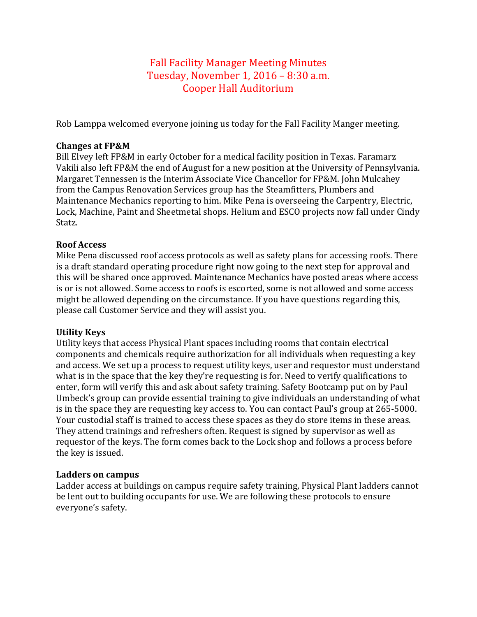# Fall Facility Manager Meeting Minutes Tuesday, November 1,  $2016 - 8:30$  a.m. Cooper Hall Auditorium

Rob Lamppa welcomed everyone joining us today for the Fall Facility Manger meeting.

### **Changes at FP&M**

Bill Elvey left FP&M in early October for a medical facility position in Texas. Faramarz Vakili also left FP&M the end of August for a new position at the University of Pennsylvania. Margaret Tennessen is the Interim Associate Vice Chancellor for FP&M. John Mulcahey from the Campus Renovation Services group has the Steamfitters, Plumbers and Maintenance Mechanics reporting to him. Mike Pena is overseeing the Carpentry, Electric, Lock, Machine, Paint and Sheetmetal shops. Helium and ESCO projects now fall under Cindy Statz. 

## **Roof Access**

Mike Pena discussed roof access protocols as well as safety plans for accessing roofs. There is a draft standard operating procedure right now going to the next step for approval and this will be shared once approved. Maintenance Mechanics have posted areas where access is or is not allowed. Some access to roofs is escorted, some is not allowed and some access might be allowed depending on the circumstance. If you have questions regarding this, please call Customer Service and they will assist you.

## **Utility Keys**

Utility keys that access Physical Plant spaces including rooms that contain electrical components and chemicals require authorization for all individuals when requesting a key and access. We set up a process to request utility keys, user and requestor must understand what is in the space that the key they're requesting is for. Need to verify qualifications to enter, form will verify this and ask about safety training. Safety Bootcamp put on by Paul Umbeck's group can provide essential training to give individuals an understanding of what is in the space they are requesting key access to. You can contact Paul's group at 265-5000. Your custodial staff is trained to access these spaces as they do store items in these areas. They attend trainings and refreshers often. Request is signed by supervisor as well as requestor of the keys. The form comes back to the Lock shop and follows a process before the key is issued.

### **Ladders on campus**

Ladder access at buildings on campus require safety training, Physical Plant ladders cannot be lent out to building occupants for use. We are following these protocols to ensure everyone's safety.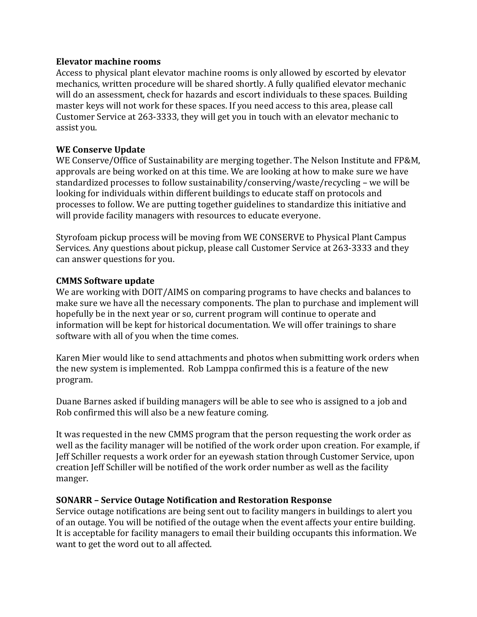#### **Elevator machine rooms**

Access to physical plant elevator machine rooms is only allowed by escorted by elevator mechanics, written procedure will be shared shortly. A fully qualified elevator mechanic will do an assessment, check for hazards and escort individuals to these spaces. Building master keys will not work for these spaces. If you need access to this area, please call Customer Service at 263-3333, they will get you in touch with an elevator mechanic to assist you.

## **WE Conserve Update**

WE Conserve/Office of Sustainability are merging together. The Nelson Institute and FP&M, approvals are being worked on at this time. We are looking at how to make sure we have standardized processes to follow sustainability/conserving/waste/recycling – we will be looking for individuals within different buildings to educate staff on protocols and processes to follow. We are putting together guidelines to standardize this initiative and will provide facility managers with resources to educate everyone.

Styrofoam pickup process will be moving from WE CONSERVE to Physical Plant Campus Services. Any questions about pickup, please call Customer Service at 263-3333 and they can answer questions for you.

### **CMMS Software update**

We are working with DOIT/AIMS on comparing programs to have checks and balances to make sure we have all the necessary components. The plan to purchase and implement will hopefully be in the next year or so, current program will continue to operate and information will be kept for historical documentation. We will offer trainings to share software with all of you when the time comes.

Karen Mier would like to send attachments and photos when submitting work orders when the new system is implemented. Rob Lamppa confirmed this is a feature of the new program. 

Duane Barnes asked if building managers will be able to see who is assigned to a job and Rob confirmed this will also be a new feature coming.

It was requested in the new CMMS program that the person requesting the work order as well as the facility manager will be notified of the work order upon creation. For example, if Leff Schiller requests a work order for an eyewash station through Customer Service, upon creation Jeff Schiller will be notified of the work order number as well as the facility manger. 

### **SONARR – Service Outage Notification and Restoration Response**

Service outage notifications are being sent out to facility mangers in buildings to alert you of an outage. You will be notified of the outage when the event affects your entire building. It is acceptable for facility managers to email their building occupants this information. We want to get the word out to all affected.